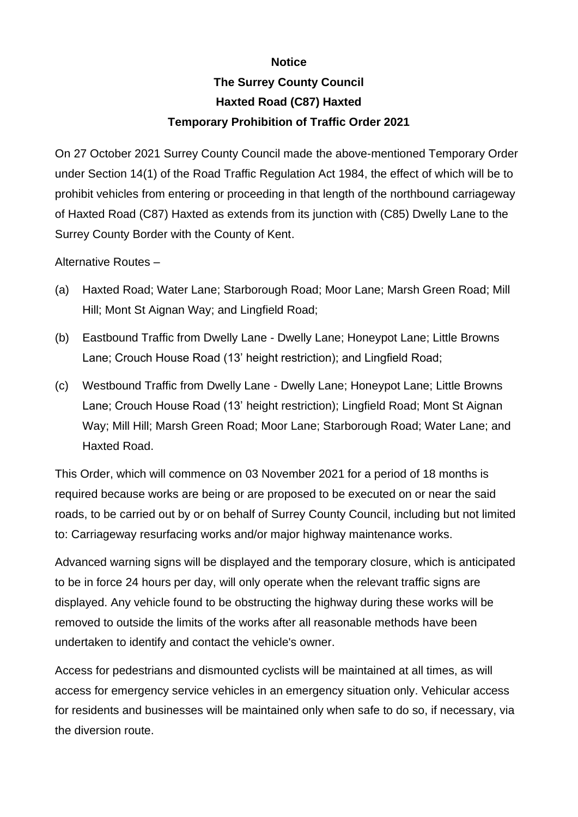## **Notice**

## **The Surrey County Council Haxted Road (C87) Haxted Temporary Prohibition of Traffic Order 2021**

On 27 October 2021 Surrey County Council made the above-mentioned Temporary Order under Section 14(1) of the Road Traffic Regulation Act 1984, the effect of which will be to prohibit vehicles from entering or proceeding in that length of the northbound carriageway of Haxted Road (C87) Haxted as extends from its junction with (C85) Dwelly Lane to the Surrey County Border with the County of Kent.

Alternative Routes –

- (a) Haxted Road; Water Lane; Starborough Road; Moor Lane; Marsh Green Road; Mill Hill; Mont St Aignan Way; and Lingfield Road;
- (b) Eastbound Traffic from Dwelly Lane Dwelly Lane; Honeypot Lane; Little Browns Lane; Crouch House Road (13' height restriction); and Lingfield Road;
- (c) Westbound Traffic from Dwelly Lane Dwelly Lane; Honeypot Lane; Little Browns Lane; Crouch House Road (13' height restriction); Lingfield Road; Mont St Aignan Way; Mill Hill; Marsh Green Road; Moor Lane; Starborough Road; Water Lane; and Haxted Road.

This Order, which will commence on 03 November 2021 for a period of 18 months is required because works are being or are proposed to be executed on or near the said roads, to be carried out by or on behalf of Surrey County Council, including but not limited to: Carriageway resurfacing works and/or major highway maintenance works.

Advanced warning signs will be displayed and the temporary closure, which is anticipated to be in force 24 hours per day, will only operate when the relevant traffic signs are displayed. Any vehicle found to be obstructing the highway during these works will be removed to outside the limits of the works after all reasonable methods have been undertaken to identify and contact the vehicle's owner.

Access for pedestrians and dismounted cyclists will be maintained at all times, as will access for emergency service vehicles in an emergency situation only. Vehicular access for residents and businesses will be maintained only when safe to do so, if necessary, via the diversion route.